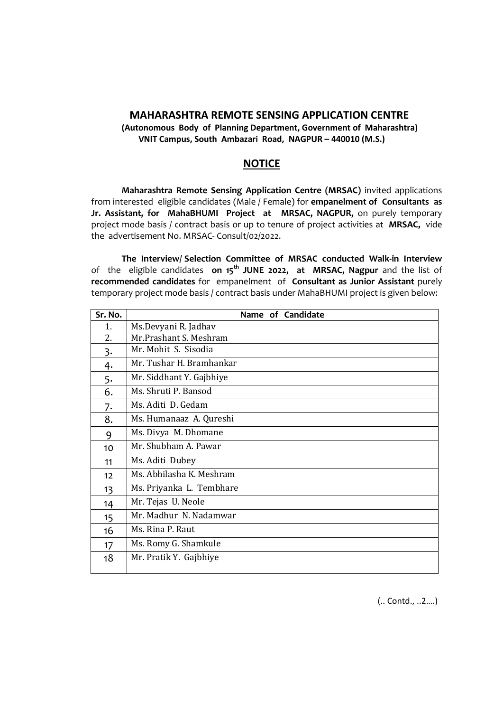## **MAHARASHTRA REMOTE SENSING APPLICATION CENTRE**

**(Autonomous Body of Planning Department, Government of Maharashtra) VNIT Campus, South Ambazari Road, NAGPUR – 440010 (M.S.)**

## **NOTICE**

**Maharashtra Remote Sensing Application Centre (MRSAC)** invited applications from interested eligible candidates (Male / Female) for **empanelment of Consultants as Jr. Assistant, for MahaBHUMI Project at MRSAC, NAGPUR,** on purely temporary project mode basis / contract basis or up to tenure of project activities at **MRSAC,** vide the advertisement No. MRSAC- Consult/02/2022.

**The Interview/ Selection Committee of MRSAC conducted Walk-in Interview** of the eligible candidates **on 15th JUNE 2022, at MRSAC, Nagpur** and the list of **recommended candidates** for empanelment of **Consultant as Junior Assistant** purely temporary project mode basis / contract basis under MahaBHUMI project is given below:

| Sr. No. | Name of Candidate        |
|---------|--------------------------|
| 1.      | Ms.Devyani R. Jadhav     |
| 2.      | Mr.Prashant S. Meshram   |
| 3.      | Mr. Mohit S. Sisodia     |
| 4.      | Mr. Tushar H. Bramhankar |
| 5.      | Mr. Siddhant Y. Gajbhiye |
| 6.      | Ms. Shruti P. Bansod     |
| 7.      | Ms. Aditi D. Gedam       |
| 8.      | Ms. Humanaaz A. Qureshi  |
| 9       | Ms. Divya M. Dhomane     |
| 10      | Mr. Shubham A. Pawar     |
| 11      | Ms. Aditi Dubey          |
| 12      | Ms. Abhilasha K. Meshram |
| 13      | Ms. Priyanka L. Tembhare |
| 14      | Mr. Tejas U. Neole       |
| 15      | Mr. Madhur N. Nadamwar   |
| 16      | Ms. Rina P. Raut         |
| 17      | Ms. Romy G. Shamkule     |
| 18      | Mr. Pratik Y. Gajbhiye   |
|         |                          |

(.. Contd., ..2….)